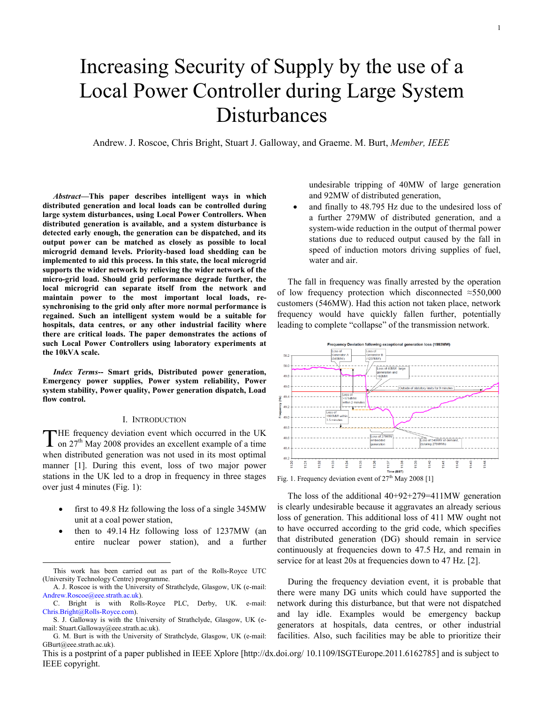# Increasing Security of Supply by the use of a Local Power Controller during Large System Disturbances

Andrew. J. Roscoe, Chris Bright, Stuart J. Galloway, and Graeme. M. Burt, *Member, IEEE*

*Abstract***—This paper describes intelligent ways in which distributed generation and local loads can be controlled during large system disturbances, using Local Power Controllers. When distributed generation is available, and a system disturbance is detected early enough, the generation can be dispatched, and its output power can be matched as closely as possible to local microgrid demand levels. Priority-based load shedding can be implemented to aid this process. In this state, the local microgrid supports the wider network by relieving the wider network of the micro-grid load. Should grid performance degrade further, the local microgrid can separate itself from the network and maintain power to the most important local loads, resynchronising to the grid only after more normal performance is regained. Such an intelligent system would be a suitable for hospitals, data centres, or any other industrial facility where there are critical loads. The paper demonstrates the actions of such Local Power Controllers using laboratory experiments at the 10kVA scale.**

*Index Terms***-- Smart grids, Distributed power generation, Emergency power supplies, Power system reliability, Power system stability, Power quality, Power generation dispatch, Load flow control.**

#### I. INTRODUCTION

HE frequency deviation event which occurred in the UK THE frequency deviation event which occurred in the UK on  $27<sup>th</sup>$  May 2008 provides an excellent example of a time when distributed generation was not used in its most optimal manner [1]. During this event, loss of two major power stations in the UK led to a drop in frequency in three stages over just 4 minutes (Fig. 1):

- first to 49.8 Hz following the loss of a single 345MW unit at a coal power station,
- then to 49.14 Hz following loss of 1237MW (an entire nuclear power station), and a further

 $\overline{a}$ 

undesirable tripping of 40MW of large generation and 92MW of distributed generation,

 and finally to 48.795 Hz due to the undesired loss of a further 279MW of distributed generation, and a system-wide reduction in the output of thermal power stations due to reduced output caused by the fall in speed of induction motors driving supplies of fuel, water and air.

The fall in frequency was finally arrested by the operation of low frequency protection which disconnected ≈550,000 customers (546MW). Had this action not taken place, network frequency would have quickly fallen further, potentially leading to complete "collapse" of the transmission network.



The loss of the additional 40+92+279=411MW generation is clearly undesirable because it aggravates an already serious loss of generation. This additional loss of 411 MW ought not to have occurred according to the grid code, which specifies that distributed generation (DG) should remain in service continuously at frequencies down to 47.5 Hz, and remain in service for at least 20s at frequencies down to 47 Hz. [2].

During the frequency deviation event, it is probable that there were many DG units which could have supported the network during this disturbance, but that were not dispatched and lay idle. Examples would be emergency backup generators at hospitals, data centres, or other industrial facilities. Also, such facilities may be able to prioritize their

This work has been carried out as part of the Rolls-Royce UTC (University Technology Centre) programme.

A. J. Roscoe is with the University of Strathclyde, Glasgow, UK (e-mail: [Andrew.Roscoe@eee.strath.ac.uk\)](mailto:Andrew.Roscoe@eee.strath.ac.uk).

C. Bright is with Rolls-Royce PLC, Derby, UK. e-mail: [Chris.Bright@Rolls-Royce.com\)](mailto:Chris.Bright@Rolls-Royce.com).

S. J. Galloway is with the University of Strathclyde, Glasgow, UK (email: Stuart.Galloway@eee.strath.ac.uk).

G. M. Burt is with the University of Strathclyde, Glasgow, UK (e-mail: GBurt@eee.strath.ac.uk).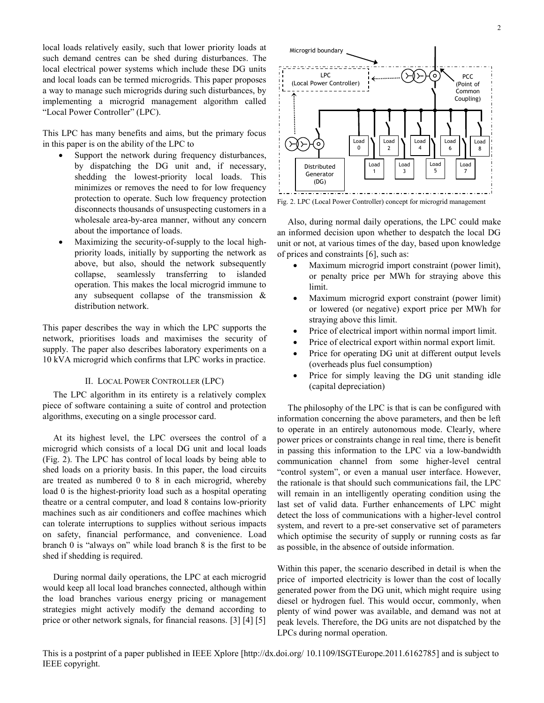local loads relatively easily, such that lower priority loads at such demand centres can be shed during disturbances. The local electrical power systems which include these DG units and local loads can be termed microgrids. This paper proposes a way to manage such microgrids during such disturbances, by implementing a microgrid management algorithm called "Local Power Controller" (LPC).

This LPC has many benefits and aims, but the primary focus in this paper is on the ability of the LPC to

- Support the network during frequency disturbances, by dispatching the DG unit and, if necessary, shedding the lowest-priority local loads. This minimizes or removes the need to for low frequency protection to operate. Such low frequency protection disconnects thousands of unsuspecting customers in a wholesale area-by-area manner, without any concern about the importance of loads.
- Maximizing the security-of-supply to the local highpriority loads, initially by supporting the network as above, but also, should the network subsequently collapse, seamlessly transferring to islanded operation. This makes the local microgrid immune to any subsequent collapse of the transmission & distribution network.

This paper describes the way in which the LPC supports the network, prioritises loads and maximises the security of supply. The paper also describes laboratory experiments on a 10 kVA microgrid which confirms that LPC works in practice.

## II. LOCAL POWER CONTROLLER (LPC)

The LPC algorithm in its entirety is a relatively complex piece of software containing a suite of control and protection algorithms, executing on a single processor card.

At its highest level, the LPC oversees the control of a microgrid which consists of a local DG unit and local loads (Fig. 2). The LPC has control of local loads by being able to shed loads on a priority basis. In this paper, the load circuits are treated as numbered 0 to 8 in each microgrid, whereby load 0 is the highest-priority load such as a hospital operating theatre or a central computer, and load 8 contains low-priority machines such as air conditioners and coffee machines which can tolerate interruptions to supplies without serious impacts on safety, financial performance, and convenience. Load branch 0 is "always on" while load branch 8 is the first to be shed if shedding is required.

During normal daily operations, the LPC at each microgrid would keep all local load branches connected, although within the load branches various energy pricing or management strategies might actively modify the demand according to price or other network signals, for financial reasons. [3] [4] [5]



Fig. 2. LPC (Local Power Controller) concept for microgrid management

Also, during normal daily operations, the LPC could make an informed decision upon whether to despatch the local DG unit or not, at various times of the day, based upon knowledge of prices and constraints [6], such as:

- Maximum microgrid import constraint (power limit), or penalty price per MWh for straying above this limit.
- Maximum microgrid export constraint (power limit) or lowered (or negative) export price per MWh for straying above this limit.
- Price of electrical import within normal import limit.
- Price of electrical export within normal export limit.
- Price for operating DG unit at different output levels (overheads plus fuel consumption)
- Price for simply leaving the DG unit standing idle (capital depreciation)

The philosophy of the LPC is that is can be configured with information concerning the above parameters, and then be left to operate in an entirely autonomous mode. Clearly, where power prices or constraints change in real time, there is benefit in passing this information to the LPC via a low-bandwidth communication channel from some higher-level central "control system", or even a manual user interface. However, the rationale is that should such communications fail, the LPC will remain in an intelligently operating condition using the last set of valid data. Further enhancements of LPC might detect the loss of communications with a higher-level control system, and revert to a pre-set conservative set of parameters which optimise the security of supply or running costs as far as possible, in the absence of outside information.

Within this paper, the scenario described in detail is when the price of imported electricity is lower than the cost of locally generated power from the DG unit, which might require using diesel or hydrogen fuel. This would occur, commonly, when plenty of wind power was available, and demand was not at peak levels. Therefore, the DG units are not dispatched by the LPCs during normal operation.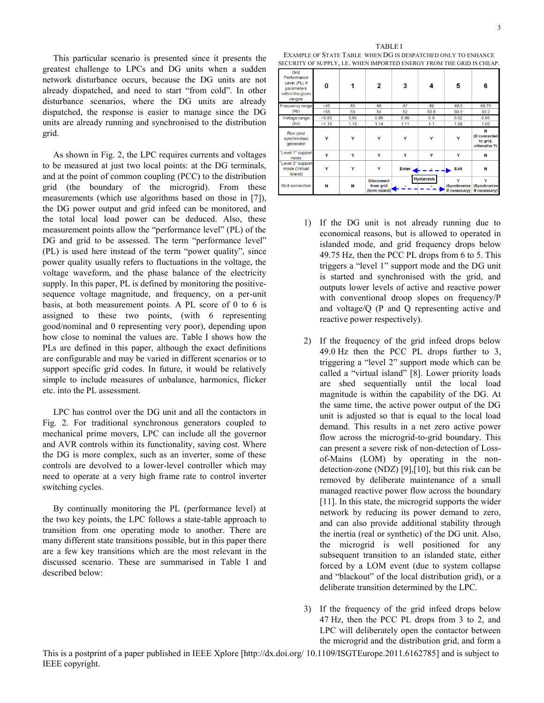This particular scenario is presented since it presents the greatest challenge to LPCs and DG units when a sudden network disturbance occurs, because the DG units are not already dispatched, and need to start "from cold". In other disturbance scenarios, where the DG units are already dispatched, the response is easier to manage since the DG units are already running and synchronised to the distribution grid.

As shown in Fig. 2, the LPC requires currents and voltages to be measured at just two local points: at the DG terminals, and at the point of common coupling (PCC) to the distribution grid (the boundary of the microgrid). From these measurements (which use algorithms based on those in [7]), the DG power output and grid infeed can be monitored, and the total local load power can be deduced. Also, these measurement points allow the "performance level" (PL) of the DG and grid to be assessed. The term "performance level" (PL) is used here instead of the term "power quality", since power quality usually refers to fluctuations in the voltage, the voltage waveform, and the phase balance of the electricity supply. In this paper, PL is defined by monitoring the positivesequence voltage magnitude, and frequency, on a per-unit basis, at both measurement points. A PL score of 0 to 6 is assigned to these two points, (with 6 representing good/nominal and 0 representing very poor), depending upon how close to nominal the values are. Table I shows how the PLs are defined in this paper, although the exact definitions are configurable and may be varied in different scenarios or to support specific grid codes. In future, it would be relatively simple to include measures of unbalance, harmonics, flicker etc. into the PL assessment.

LPC has control over the DG unit and all the contactors in Fig. 2. For traditional synchronous generators coupled to mechanical prime movers, LPC can include all the governor and AVR controls within its functionality, saving cost. Where the DG is more complex, such as an inverter, some of these controls are devolved to a lower-level controller which may need to operate at a very high frame rate to control inverter switching cycles.

By continually monitoring the PL (performance level) at the two key points, the LPC follows a state-table approach to transition from one operating mode to another. There are many different state transitions possible, but in this paper there are a few key transitions which are the most relevant in the discussed scenario. These are summarised in Table I and described below:

3

|                                                                                  |        | SECURITY OF SUPPLY, I.E. WHEN IMPORTED ENERGY FROM THE GRID IS CHEAP. |      |       |       |      |                                |
|----------------------------------------------------------------------------------|--------|-----------------------------------------------------------------------|------|-------|-------|------|--------------------------------|
| Grid<br>Performance<br>Level (PL) if<br>parameters<br>within the given<br>ranges | 0      |                                                                       | 2    | 3     |       | 5    | 6                              |
| Frequency range<br>(Hz)                                                          | <45    | 45                                                                    | 46   | 47    | 49    | 49.5 | 49.75                          |
|                                                                                  | >55    | 55                                                                    | 54   | 52    | 50.8  | 50.5 | 50.2                           |
| Voltage range<br>(pu)                                                            | < 0.85 | 0.85                                                                  | 0.86 | 0.89  | 0.9   | 0.92 | 0.95                           |
|                                                                                  | >1.15  | 1.15                                                                  | 1.14 | 1.11  | 1.1   | 1.08 | 1.05                           |
| Run (and<br>synchronise)<br>generator                                            | ۷      | Y                                                                     | Y    | Y     | Y     | Y    | N<br>(if connected<br>to grid, |
|                                                                                  |        |                                                                       |      |       |       |      | otherwise Y)                   |
| "Level 1" support<br>mode                                                        | Y      | Y                                                                     | Y    | Y     | Y     | Y    | N                              |
| "Level 2" support<br>mode (Virtual<br>Island)                                    | ٧      | Y                                                                     | Y    | Enter | د د د | Exit | N                              |

TABLE I EXAMPLE OF STATE TABLE WHEN DG IS DESPATCHED ONLY TO ENHANCE

- 1) If the DG unit is not already running due to economical reasons, but is allowed to operated in islanded mode, and grid frequency drops below 49.75 Hz, then the PCC PL drops from 6 to 5. This triggers a "level 1" support mode and the DG unit is started and synchronised with the grid, and outputs lower levels of active and reactive power with conventional droop slopes on frequency/P and voltage/Q (P and Q representing active and reactive power respectively).
- 2) If the frequency of the grid infeed drops below 49.0 Hz then the PCC PL drops further to 3, triggering a "level 2" support mode which can be called a "virtual island" [8]. Lower priority loads are shed sequentially until the local load magnitude is within the capability of the DG. At the same time, the active power output of the DG unit is adjusted so that is equal to the local load demand. This results in a net zero active power flow across the microgrid-to-grid boundary. This can present a severe risk of non-detection of Lossof-Mains (LOM) by operating in the nondetection-zone (NDZ) [9],[10], but this risk can be removed by deliberate maintenance of a small managed reactive power flow across the boundary [11]. In this state, the microgrid supports the wider network by reducing its power demand to zero, and can also provide additional stability through the inertia (real or synthetic) of the DG unit. Also, the microgrid is well positioned for any subsequent transition to an islanded state, either forced by a LOM event (due to system collapse and "blackout" of the local distribution grid), or a deliberate transition determined by the LPC.
- 3) If the frequency of the grid infeed drops below 47 Hz, then the PCC PL drops from 3 to 2, and LPC will deliberately open the contactor between the microgrid and the distribution grid, and form a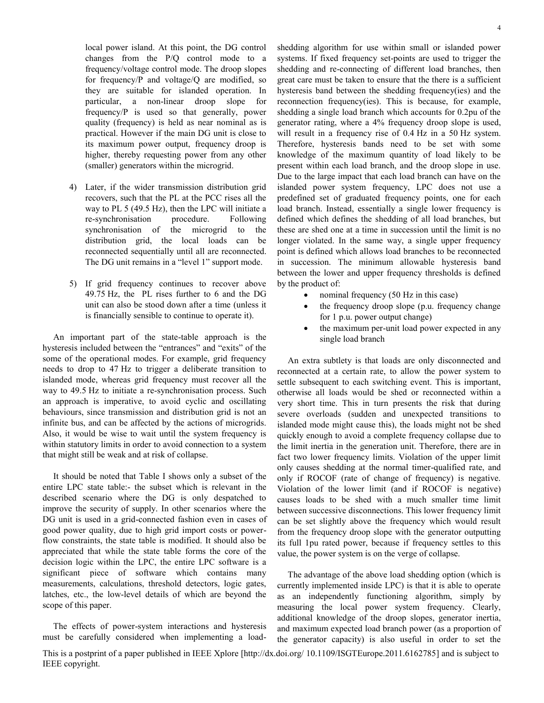local power island. At this point, the DG control changes from the P/Q control mode to a frequency/voltage control mode. The droop slopes for frequency/P and voltage/Q are modified, so they are suitable for islanded operation. In particular, a non-linear droop slope for frequency/P is used so that generally, power quality (frequency) is held as near nominal as is practical. However if the main DG unit is close to its maximum power output, frequency droop is higher, thereby requesting power from any other (smaller) generators within the microgrid.

- 4) Later, if the wider transmission distribution grid recovers, such that the PL at the PCC rises all the way to PL 5 (49.5 Hz), then the LPC will initiate a re-synchronisation procedure. Following synchronisation of the microgrid to the distribution grid, the local loads can be reconnected sequentially until all are reconnected. The DG unit remains in a "level 1" support mode.
- 5) If grid frequency continues to recover above 49.75 Hz, the PL rises further to 6 and the DG unit can also be stood down after a time (unless it is financially sensible to continue to operate it).

An important part of the state-table approach is the hysteresis included between the "entrances" and "exits" of the some of the operational modes. For example, grid frequency needs to drop to 47 Hz to trigger a deliberate transition to islanded mode, whereas grid frequency must recover all the way to 49.5 Hz to initiate a re-synchronisation process. Such an approach is imperative, to avoid cyclic and oscillating behaviours, since transmission and distribution grid is not an infinite bus, and can be affected by the actions of microgrids. Also, it would be wise to wait until the system frequency is within statutory limits in order to avoid connection to a system that might still be weak and at risk of collapse.

It should be noted that Table I shows only a subset of the entire LPC state table:- the subset which is relevant in the described scenario where the DG is only despatched to improve the security of supply. In other scenarios where the DG unit is used in a grid-connected fashion even in cases of good power quality, due to high grid import costs or powerflow constraints, the state table is modified. It should also be appreciated that while the state table forms the core of the decision logic within the LPC, the entire LPC software is a significant piece of software which contains many measurements, calculations, threshold detectors, logic gates, latches, etc., the low-level details of which are beyond the scope of this paper.

The effects of power-system interactions and hysteresis must be carefully considered when implementing a loadshedding algorithm for use within small or islanded power systems. If fixed frequency set-points are used to trigger the shedding and re-connecting of different load branches, then great care must be taken to ensure that the there is a sufficient hysteresis band between the shedding frequency(ies) and the reconnection frequency(ies). This is because, for example, shedding a single load branch which accounts for 0.2pu of the generator rating, where a 4% frequency droop slope is used, will result in a frequency rise of 0.4 Hz in a 50 Hz system. Therefore, hysteresis bands need to be set with some knowledge of the maximum quantity of load likely to be present within each load branch, and the droop slope in use. Due to the large impact that each load branch can have on the islanded power system frequency, LPC does not use a predefined set of graduated frequency points, one for each load branch. Instead, essentially a single lower frequency is defined which defines the shedding of all load branches, but these are shed one at a time in succession until the limit is no longer violated. In the same way, a single upper frequency point is defined which allows load branches to be reconnected in succession. The minimum allowable hysteresis band between the lower and upper frequency thresholds is defined by the product of:

- nominal frequency (50 Hz in this case)
- $\bullet$  the frequency droop slope (p.u. frequency change for 1 p.u. power output change)
- the maximum per-unit load power expected in any single load branch

An extra subtlety is that loads are only disconnected and reconnected at a certain rate, to allow the power system to settle subsequent to each switching event. This is important, otherwise all loads would be shed or reconnected within a very short time. This in turn presents the risk that during severe overloads (sudden and unexpected transitions to islanded mode might cause this), the loads might not be shed quickly enough to avoid a complete frequency collapse due to the limit inertia in the generation unit. Therefore, there are in fact two lower frequency limits. Violation of the upper limit only causes shedding at the normal timer-qualified rate, and only if ROCOF (rate of change of frequency) is negative. Violation of the lower limit (and if ROCOF is negative) causes loads to be shed with a much smaller time limit between successive disconnections. This lower frequency limit can be set slightly above the frequency which would result from the frequency droop slope with the generator outputting its full 1pu rated power, because if frequency settles to this value, the power system is on the verge of collapse.

The advantage of the above load shedding option (which is currently implemented inside LPC) is that it is able to operate as an independently functioning algorithm, simply by measuring the local power system frequency. Clearly, additional knowledge of the droop slopes, generator inertia, and maximum expected load branch power (as a proportion of the generator capacity) is also useful in order to set the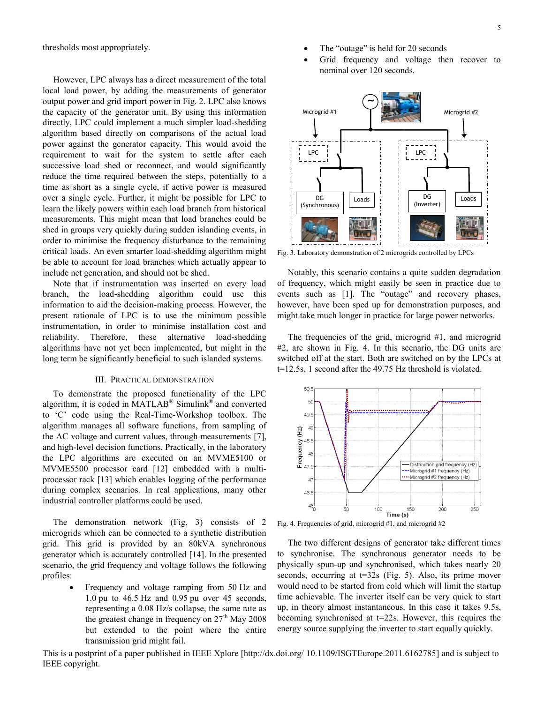thresholds most appropriately.

However, LPC always has a direct measurement of the total local load power, by adding the measurements of generator output power and grid import power in Fig. 2. LPC also knows the capacity of the generator unit. By using this information directly, LPC could implement a much simpler load-shedding algorithm based directly on comparisons of the actual load power against the generator capacity. This would avoid the requirement to wait for the system to settle after each successive load shed or reconnect, and would significantly reduce the time required between the steps, potentially to a time as short as a single cycle, if active power is measured over a single cycle. Further, it might be possible for LPC to learn the likely powers within each load branch from historical measurements. This might mean that load branches could be shed in groups very quickly during sudden islanding events, in order to minimise the frequency disturbance to the remaining critical loads. An even smarter load-shedding algorithm might be able to account for load branches which actually appear to include net generation, and should not be shed.

Note that if instrumentation was inserted on every load branch, the load-shedding algorithm could use this information to aid the decision-making process. However, the present rationale of LPC is to use the minimum possible instrumentation, in order to minimise installation cost and reliability. Therefore, these alternative load-shedding algorithms have not yet been implemented, but might in the long term be significantly beneficial to such islanded systems.

### III. PRACTICAL DEMONSTRATION

To demonstrate the proposed functionality of the LPC algorithm, it is coded in MATLAB<sup>®</sup> Simulink<sup>®</sup> and converted to "C" code using the Real-Time-Workshop toolbox. The algorithm manages all software functions, from sampling of the AC voltage and current values, through measurements [7], and high-level decision functions. Practically, in the laboratory the LPC algorithms are executed on an MVME5100 or MVME5500 processor card [12] embedded with a multiprocessor rack [13] which enables logging of the performance during complex scenarios. In real applications, many other industrial controller platforms could be used.

The demonstration network (Fig. 3) consists of 2 microgrids which can be connected to a synthetic distribution grid. This grid is provided by an 80kVA synchronous generator which is accurately controlled [14]. In the presented scenario, the grid frequency and voltage follows the following profiles:

> Frequency and voltage ramping from 50 Hz and 1.0 pu to 46.5 Hz and 0.95 pu over 45 seconds, representing a 0.08 Hz/s collapse, the same rate as the greatest change in frequency on  $27<sup>th</sup>$  May 2008 but extended to the point where the entire transmission grid might fail.

- The "outage" is held for 20 seconds
- Grid frequency and voltage then recover to nominal over 120 seconds.



Fig. 3. Laboratory demonstration of 2 microgrids controlled by LPCs

Notably, this scenario contains a quite sudden degradation of frequency, which might easily be seen in practice due to events such as [1]. The "outage" and recovery phases, however, have been sped up for demonstration purposes, and might take much longer in practice for large power networks.

The frequencies of the grid, microgrid #1, and microgrid #2, are shown in Fig. 4. In this scenario, the DG units are switched off at the start. Both are switched on by the LPCs at t=12.5s, 1 second after the 49.75 Hz threshold is violated.



Fig. 4. Frequencies of grid, microgrid #1, and microgrid #2

The two different designs of generator take different times to synchronise. The synchronous generator needs to be physically spun-up and synchronised, which takes nearly 20 seconds, occurring at t=32s (Fig. 5). Also, its prime mover would need to be started from cold which will limit the startup time achievable. The inverter itself can be very quick to start up, in theory almost instantaneous. In this case it takes 9.5s, becoming synchronised at  $t=22$ s. However, this requires the energy source supplying the inverter to start equally quickly.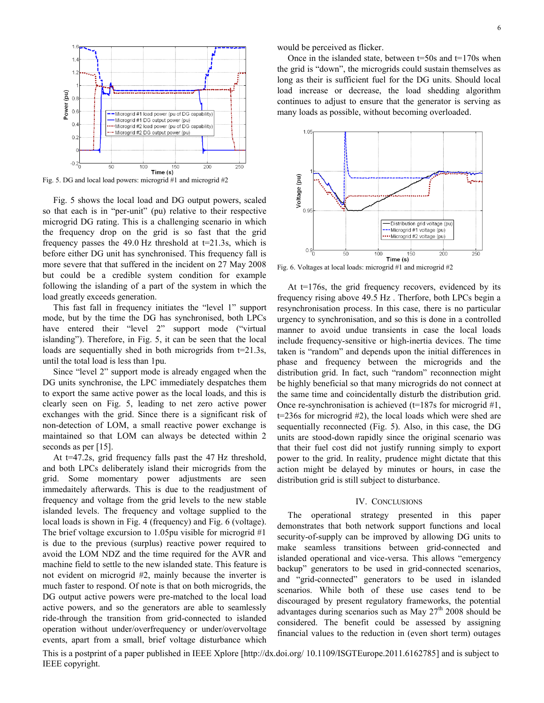

Fig. 5. DG and local load powers: microgrid #1 and microgrid #2

Fig. 5 shows the local load and DG output powers, scaled so that each is in "per-unit" (pu) relative to their respective microgrid DG rating. This is a challenging scenario in which the frequency drop on the grid is so fast that the grid frequency passes the 49.0 Hz threshold at  $t=21.3$ s, which is before either DG unit has synchronised. This frequency fall is more severe that that suffered in the incident on 27 May 2008 but could be a credible system condition for example following the islanding of a part of the system in which the load greatly exceeds generation.

This fast fall in frequency initiates the "level 1" support mode, but by the time the DG has synchronised, both LPCs have entered their "level 2" support mode ("virtual islanding"). Therefore, in Fig. 5, it can be seen that the local loads are sequentially shed in both microgrids from t=21.3s, until the total load is less than 1pu.

Since "level 2" support mode is already engaged when the DG units synchronise, the LPC immediately despatches them to export the same active power as the local loads, and this is clearly seen on Fig. 5, leading to net zero active power exchanges with the grid. Since there is a significant risk of non-detection of LOM, a small reactive power exchange is maintained so that LOM can always be detected within 2 seconds as per [15].

At t=47.2s, grid frequency falls past the 47 Hz threshold, and both LPCs deliberately island their microgrids from the grid. Some momentary power adjustments are seen immedaitely afterwards. This is due to the readjustment of frequency and voltage from the grid levels to the new stable islanded levels. The frequency and voltage supplied to the local loads is shown in Fig. 4 (frequency) and Fig. 6 (voltage). The brief voltage excursion to 1.05pu visible for microgrid #1 is due to the previous (surplus) reactive power required to avoid the LOM NDZ and the time required for the AVR and machine field to settle to the new islanded state. This feature is not evident on microgrid #2, mainly because the inverter is much faster to respond. Of note is that on both microgrids, the DG output active powers were pre-matched to the local load active powers, and so the generators are able to seamlessly ride-through the transition from grid-connected to islanded operation without under/overfrequency or under/overvoltage events, apart from a small, brief voltage disturbance which would be perceived as flicker.

Once in the islanded state, between  $t=50$ s and  $t=170$ s when the grid is "down", the microgrids could sustain themselves as long as their is sufficient fuel for the DG units. Should local load increase or decrease, the load shedding algorithm continues to adjust to ensure that the generator is serving as many loads as possible, without becoming overloaded.



Fig. 6. Voltages at local loads: microgrid #1 and microgrid #2

At  $t=176s$ , the grid frequency recovers, evidenced by its frequency rising above 49.5 Hz . Therfore, both LPCs begin a resynchronisation process. In this case, there is no particular urgency to synchronisation, and so this is done in a controlled manner to avoid undue transients in case the local loads include frequency-sensitive or high-inertia devices. The time taken is "random" and depends upon the initial differences in phase and frequency between the microgrids and the distribution grid. In fact, such "random" reconnection might be highly beneficial so that many microgrids do not connect at the same time and coincidentally disturb the distribution grid. Once re-synchronisation is achieved ( $t=187$ s for microgrid #1, t=236s for microgrid #2), the local loads which were shed are sequentially reconnected (Fig. 5). Also, in this case, the DG units are stood-down rapidly since the original scenario was that their fuel cost did not justify running simply to export power to the grid. In reality, prudence might dictate that this action might be delayed by minutes or hours, in case the distribution grid is still subject to disturbance.

## IV. CONCLUSIONS

The operational strategy presented in this paper demonstrates that both network support functions and local security-of-supply can be improved by allowing DG units to make seamless transitions between grid-connected and islanded operational and vice-versa. This allows "emergency backup" generators to be used in grid-connected scenarios, and "grid-connected" generators to be used in islanded scenarios. While both of these use cases tend to be discouraged by present regulatory frameworks, the potential advantages during scenarios such as May  $27<sup>th</sup>$  2008 should be considered. The benefit could be assessed by assigning financial values to the reduction in (even short term) outages